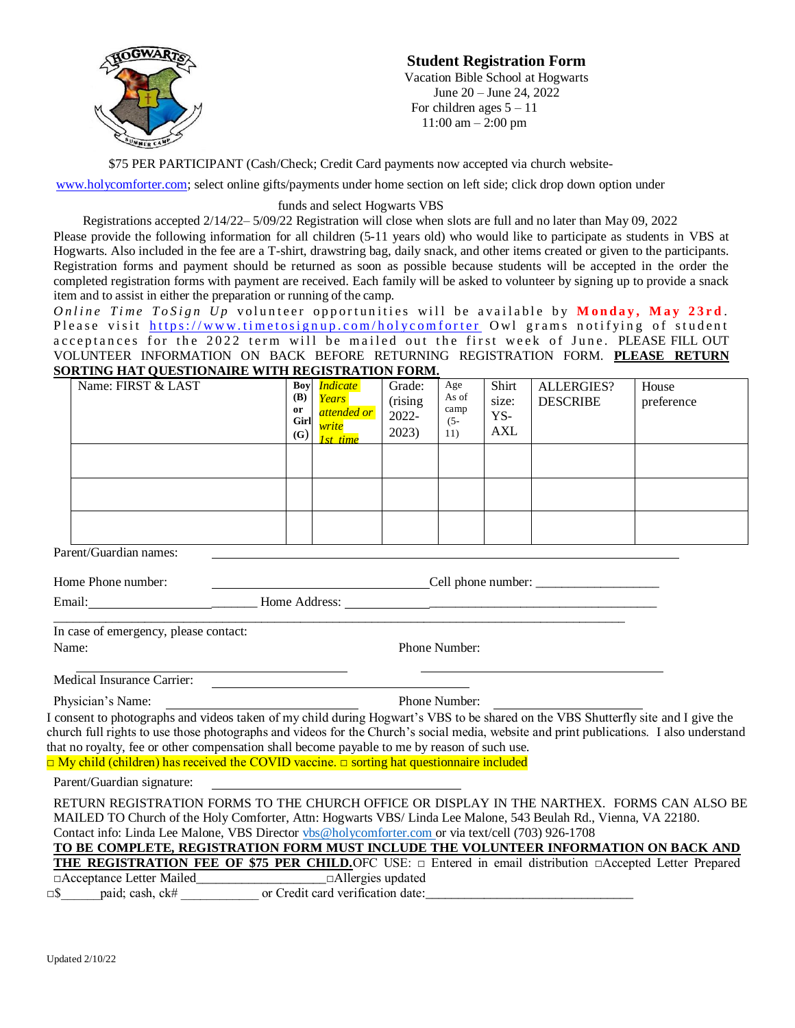

## **Student Registration Form**

Vacation Bible School at Hogwarts June 20 – June 24, 2022 For children ages  $5 - 11$ 11:00 am – 2:00 pm

\$75 PER PARTICIPANT (Cash/Check; Credit Card payments now accepted via church website-

[www.holycomforter.com;](http://www.holycomforter.com/) select online gifts/payments under home section on left side; click drop down option under

## funds and select Hogwarts VBS

Registrations accepted 2/14/22– 5/09/22 Registration will close when slots are full and no later than May 09, 2022 Please provide the following information for all children (5-11 years old) who would like to participate as students in VBS at Hogwarts. Also included in the fee are a T-shirt, drawstring bag, daily snack, and other items created or given to the participants. Registration forms and payment should be returned as soon as possible because students will be accepted in the order the completed registration forms with payment are received. Each family will be asked to volunteer by signing up to provide a snack item and to assist in either the preparation or running of the camp.

*Online Time ToSign Up* volunteer opportunities will be available by **Monday**, May 23rd. Please visit https://www.timetosignup.com/holycomforter Owl grams notifying of student acceptances for the 2022 term will be mailed out the first week of June. PLEASE FILL OUT VOLUNTEER INFORMATION ON BACK BEFORE RETURNING REGISTRATION FORM. **PLEASE RETURN SORTING HAT QUESTIONAIRE WITH REGISTRATION FORM.**

| Name: FIRST & LAST | Boy<br>(B)<br>or<br>Girl<br>(G) | <i>Indicate</i><br><b>Years</b><br>attended or<br>vrite<br><i>time</i> | Grade:<br>(rising<br>2022-<br>2023) | Age<br>As of<br>camp<br>$(5 -$<br>11) | Shirt<br>size:<br>YS-<br><b>AXL</b> | <b>ALLERGIES?</b><br><b>DESCRIBE</b> | House<br>preference |
|--------------------|---------------------------------|------------------------------------------------------------------------|-------------------------------------|---------------------------------------|-------------------------------------|--------------------------------------|---------------------|
|                    |                                 |                                                                        |                                     |                                       |                                     |                                      |                     |
|                    |                                 |                                                                        |                                     |                                       |                                     |                                      |                     |
|                    |                                 |                                                                        |                                     |                                       |                                     |                                      |                     |

Parent/Guardian names:

Home Phone number: Cell phone number: \_\_\_\_\_\_\_\_\_\_\_\_\_\_\_\_\_\_\_

Email: \_\_\_\_\_\_\_ Home Address: \_\_\_\_\_\_\_\_\_\_\_\_\_\_\_\_\_\_\_\_\_\_\_\_\_\_\_\_\_\_\_\_\_\_\_

 $\_$  ,  $\_$  ,  $\_$  ,  $\_$  ,  $\_$  ,  $\_$  ,  $\_$  ,  $\_$  ,  $\_$  ,  $\_$  ,  $\_$  ,  $\_$  ,  $\_$  ,  $\_$  ,  $\_$  ,  $\_$  ,  $\_$  ,  $\_$  ,  $\_$  ,  $\_$  ,  $\_$  ,  $\_$  ,  $\_$  ,  $\_$  ,  $\_$  ,  $\_$  ,  $\_$  ,  $\_$  ,  $\_$  ,  $\_$  ,  $\_$  ,  $\_$  ,  $\_$  ,  $\_$  ,  $\_$  ,  $\_$  ,  $\_$  , In case of emergency, please contact: Name: Phone Number:

Medical Insurance Carrier:

Physician's Name: Phone Number:

I consent to photographs and videos taken of my child during Hogwart's VBS to be shared on the VBS Shutterfly site and I give the church full rights to use those photographs and videos for the Church's social media, website and print publications. I also understand that no royalty, fee or other compensation shall become payable to me by reason of such use. □ My child (children) has received the COVID vaccine. □ sorting hat questionnaire included

Parent/Guardian signature:

RETURN REGISTRATION FORMS TO THE CHURCH OFFICE OR DISPLAY IN THE NARTHEX. FORMS CAN ALSO BE MAILED TO Church of the Holy Comforter, Attn: Hogwarts VBS/ Linda Lee Malone, 543 Beulah Rd., Vienna, VA 22180. Contact info: Linda Lee Malone, VBS Director [vbs@holycomforter.com o](mailto:vbs@holycomforter.com)r via text/cell (703) 926-1708

| TO BE COMPLETE, REGISTRATION FORM MUST INCLUDE THE VOLUNTEER INFORMATION ON BACK AND                                  |                          |  |  |  |  |
|-----------------------------------------------------------------------------------------------------------------------|--------------------------|--|--|--|--|
| THE REGISTRATION FEE OF \$75 PER CHILD. OFC USE: $\Box$ Entered in email distribution $\Box$ Accepted Letter Prepared |                          |  |  |  |  |
| $\Box$ Acceptance Letter Mailed                                                                                       | $\Box$ Allergies updated |  |  |  |  |
|                                                                                                                       |                          |  |  |  |  |

□\$\_\_\_\_\_\_paid; cash, ck# \_\_\_\_\_\_\_\_\_\_\_\_ or Credit card verification date:\_\_\_\_\_\_\_\_\_\_\_\_\_\_\_\_\_\_\_\_\_\_\_\_\_\_\_\_\_\_\_\_